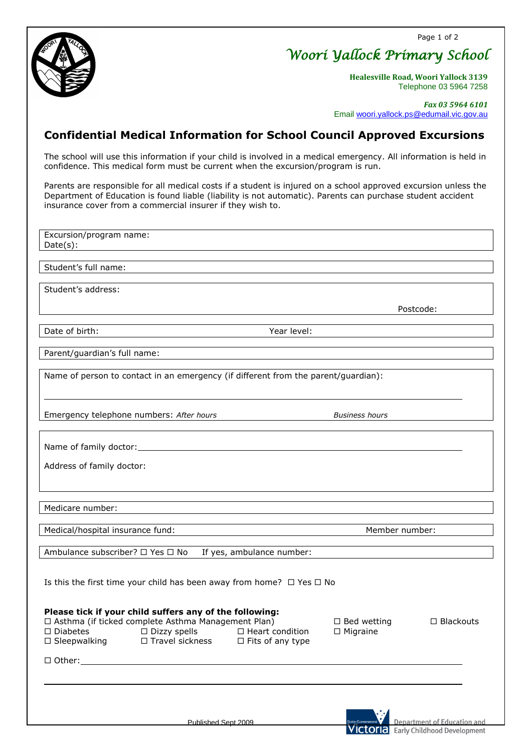Page 1 of 2



*Woori Yallock Primary School* 

**Healesville Road, Woori Yallock 3139** Telephone 03 5964 7258

 *Fax 03 5964 6101* Email [woori.yallock.ps@edumail.vic.gov.au](mailto:woori.yallock.ps@edumail.vic.gov.au)

Postcode:

## **Confidential Medical Information for School Council Approved Excursions**

The school will use this information if your child is involved in a medical emergency. All information is held in confidence. This medical form must be current when the excursion/program is run.

Parents are responsible for all medical costs if a student is injured on a school approved excursion unless the Department of Education is found liable (liability is not automatic). Parents can purchase student accident insurance cover from a commercial insurer if they wish to.

Excursion/program name: Date(s):

Student's full name:

Student's address:

Date of birth:  $Year level:$ 

Parent/guardian's full name:

Name of person to contact in an emergency (if different from the parent/guardian):

Emergency telephone numbers: *After hours Business hours*

Name of family doctor:

Address of family doctor:

Medicare number:

Medical/hospital insurance fund: Medical/hospital insurance fund: Member number:

Ambulance subscriber?  $\Box$  Yes  $\Box$  No If yes, ambulance number:

Is this the first time your child has been away from home?  $\Box$  Yes  $\Box$  No

## **Please tick if your child suffers any of the following:**

 $\Box$  Asthma (if ticked complete Asthma Management Plan)  $\Box$  Bed wetting  $\Box$  Blackouts  $\Box$  Diabetes  $\Box$  Dizzy spells  $\Box$  Heart condition  $\Box$  Migraine  $\Box$  Sleepwalking  $\Box$  Travel sickness  $\Box$  Fits of any type

□ Other:

Published Sept 2009